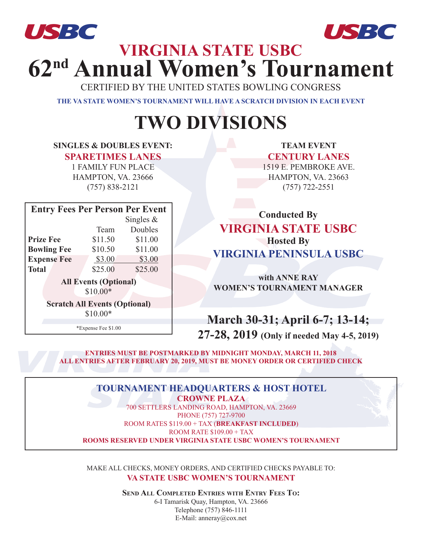



# **VIRGINIA STATE USBC 62nd Annual Women's Tournament** *USBC USBC*

CERTIFIED BY THE UNITED STATES BOWLING CONGRESS

**THE VA STATE WOMEN'S TOURNAMENT WILL HAVE A SCRATCH DIVISION IN EACH EVENT**

## **TWO DIVISIONS**

### **SINGLES & DOUBLES EVENT:**

**SPARETIMES LANES**

1 FAMILY FUN PLACE HAMPTON, VA. 23666 (757) 838-2121

| <b>Entry Fees Per Person Per Event</b> |              |         |  |  |  |  |  |  |  |
|----------------------------------------|--------------|---------|--|--|--|--|--|--|--|
|                                        | Singles $\&$ |         |  |  |  |  |  |  |  |
|                                        | Team         | Doubles |  |  |  |  |  |  |  |
| <b>Prize Fee</b>                       | \$11.50      | \$11.00 |  |  |  |  |  |  |  |
| <b>Bowling Fee</b>                     | \$10.50      | \$11.00 |  |  |  |  |  |  |  |
| <b>Expense Fee</b>                     | \$3.00       | \$3.00  |  |  |  |  |  |  |  |
| <b>Total</b>                           | \$25.00      | \$25.00 |  |  |  |  |  |  |  |
| <b>All Events (Optional)</b>           |              |         |  |  |  |  |  |  |  |
| \$10.00*                               |              |         |  |  |  |  |  |  |  |
| <b>Scratch All Events (Optional)</b>   |              |         |  |  |  |  |  |  |  |
| \$10.00*                               |              |         |  |  |  |  |  |  |  |
| *Expense Fee \$1.00                    |              |         |  |  |  |  |  |  |  |

**TEAM EVENT** 

**CENTURY LANES** 1519 E. PEMBROKE AVE. HAMPTON, VA. 23663 (757) 722-2551

**Conducted By VIRGINIA STATE USBC Hosted By VIRGINIA PENINSULA USBC**

**with ANNE RAY WOMEN'S TOURNAMENT MANAGER**

**March 30-31; April 6-7; 13-14;**

**27-28, 2019 (Only if needed May 4-5, 2019)**

**ENTRIES MUST BE POSTMARKED BY MIDNIGHT MONDAY, MARCH 11, 2018 ALL ENTRIES AFTER FEBRUARY 20, 2019, MUST BE MONEY ORDER OR CERTIFIED CHECK**

## **TOURNAMENT HEADQUARTERS & HOST HOTEL**

**CROWNE PLAZA** 700 SETTLERS LANDING ROAD, HAMPTON, VA. 23669 PHONE (757) 727-9700 ROOM RATES \$119.00 + TAX (**BREAKFAST INCLUDED**) ROOM RATE \$109.00 + TAX **ROOMS RESERVED UNDER VIRGINIA STATE USBC WOMEN'S TOURNAMENT**

MAKE ALL CHECKS, MONEY ORDERS, AND CERTIFIED CHECKS PAYABLE TO: **VA STATE USBC WOMEN'S TOURNAMENT**

> **Send All Completed Entries with Entry Fees To:** 6-I Tamarisk Quay, Hampton, VA. 23666 Telephone (757) 846-1111 E-Mail: anneray@cox.net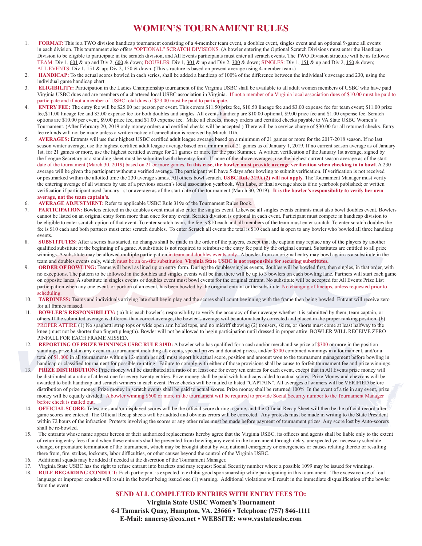### **WOMEN'S TOURNAMENT RULES**

- 1. **FORMAT:** This is a TWO division handicap tournament consisting of a 4-member team event, a doubles event, singles event and an optional 9-game all events in each division. This tournament also offers "OPTIONAL" SCRATCH DIVISIONS. (A bowler entering the Optional Scratch Divisions must enter the Handicap Division to be eligible to participate in the scratch division, and All Events participants must enter all scratch events. The TWO Division structure will be as follows: TEAM: Div 1, 601 & up and Div 2, 600 & down; DOUBLES: Div 1, 301 & up and Div 2, 300 & down; SINGLES: Div 1, 151 & up and Div 2, 150 & down; ALL EVENTS: Div 1, 151 & up; Div 2, 150 & down. (This structure is based on present average using 4-member team.)
- 2. **HANDICAP:** To the actual scores bowled in each series, shall be added a handicap of 100% of the difference between the individual's average and 230, using the individual game handicap chart.
- 3. **ELIGIBILITY:** Participation in the Ladies Championship tournament of the Virginia USBC shall be available to all adult women members of USBC who have paid Virginia USBC dues and are members of a chartered local USBC association in Virginia. If not a member of a Virginia local association dues of \$10.00 must be paid to participate and if not a member of USBC total dues of \$23.00 must be paid to participate.
- 4. **ENTRY FEE:** The entry fee will be \$25.00 per person per event. This covers \$11.50 prize fee, \$10.50 lineage fee and \$3.00 expense fee for team event; \$11.00 prize fee,\$11.00 lineage fee and \$3.00 expense fee for both doubles and singles. All events handicap are \$10.00 optional, \$9.00 prize fee and \$1.00 expense fee. Scratch options are \$10.00 per event, \$9.00 prize fee, and \$1.00 expense fee. Make all checks, money orders and certified checks payable to VA State USBC Women's Tournament. (After February 20, 2019 only money orders and certified checks will be accepted.) There will be a service charge of \$30.00 for all returned checks. Entry fee refunds will not be made unless a written notice of cancellation is received by March 11th.
- 5. **AVERAGES:** Entrants will use their highest USBC certified adult league average based on a minimum of 21 games or more for the 2017-2018 season. If no last season winter average, use the highest certified adult league average based on a minimum of 21 games as of January 1, 2019. If no current season average as of January 1st, for 21 games or more, use the highest certified average for 21 games or more for the past Summer. A written verification of the January 1st average, signed by the League Secretary or a standing sheet must be submitted with the entry form. If none of the above averages, use the highest current season average as of the start date of the tournament (March 30, 2019) based on 21 or more games. **In this case, the bowler must provide average verification when checking in to bowl**. A 230 average will be given the participant without a verified average. The participant will have 5 days after bowling to submit verification. If verification is not received or postmarked within the allotted time the 230 average stands. All others bowl scratch. **USBC Rule 319A (2) will not apply.** The Tournament Manager must verify the entering average of all winners by use of a previous season's local association yearbook, Win Labs, or final average sheets if no yearbook published; or written verification if participant used January 1st or average as of the start date of the tournament (March 30, 2019). **It is the bowler's responsibility to verify her own average, not the team captain's**.
- 6. **AVERAGE ADJUSTMENT:** Refer to applicable USBC Rule 319e of the Tournament Rules Book.
- 7. **PARTICIPATION:** Bowlers entered in the doubles event must also enter the singles event. Likewise all singles events entrants must also bowl doubles event. Bowlers cannot be listed on an original entry form more than once for any event. Scratch division is optional in each event. Participant must compete in handicap division to be eligible to enter scratch option of that event. To enter scratch team, the fee is \$10 each and all members of the team must enter scratch. To enter scratch doubles the fee is \$10 each and both partners must enter scratch doubles. To enter Scratch all events the total is \$10 each and is open to any bowler who bowled all three handicap events.
- 8. **SUBSTITUTES:** After a series has started, no changes shall be made in the order of the players, except that the captain may replace any of the players by another qualified substitute at the beginning of a game. A substitute is not required to reimburse the entry fee paid by the original entrant. Substitutes are entitled to all prize winnings. A substitute may be allowed multiple participation in team and doubles events only. A bowler from an original entry may bowl again as a substitute in the team and doubles events only, which must be an on-site substitution. **Virginia State USBC is not responsible for securing substitutes.**
- **ORDER OF BOWLING:** Teams will bowl as lined up on entry form. During the doubles/singles events, doubles will be bowled first, then singles, in that order, with no exceptions. The pattern to be followed in the doubles and singles events will be that there will be up to 3 bowlers on each bowling lane. Partners will start each game on opposite lanes. A substitute in singles events or doubles event must bowl events for the original entrant. No substitute will be accepted for All Events Prize List participation when any one event, or portion of an event, has been bowled by the original entrant or the substitute. No changing of lineups, unless requested prior to scheduling.
- 10. **TARDINESS:** Teams and individuals arriving late shall begin play and the scores shall count beginning with the frame then being bowled. Entrant will receive zero for all frames missed.
- 11. **BOWLER'S RESPONSIBILITY:** ( a) It is each bowler's responsibility to verify the accuracy of their average whether it is submitted by them, team captain, or others If the submitted average is different than correct average, the bowler's average will be automatically corrected and placed in the proper ranking position. (b) PROPER ATTIRE (1) No spaghetti strap tops or wide open arm holed tops, and no midriff showing (2) trousers, skirts, or shorts must come at least halfway to the knee (must not be shorter than fingertip length). Bowler will not be allowed to begin participation until dressed in proper attire. BOWLER WILL RECEIVE ZERO PINFALL FOR EACH FRAME MISSED.
- 12. **REPORTING OF PRIZE WINNINGS USBC RULE 319D:** A bowler who has qualified for a cash and/or merchandise prize of \$300 or more in the position standings prize list in any event in a tournament including all events, special prizes and donated prizes, and/or \$500 combined winnings in a tournament, and/or a total of \$1,000 in all tournaments within a 12-month period, must report his actual score, position and amount won to the tournament management before bowling in handicap or classified tournament for possible re-rating. Failure to comply with either of those provisions shall be cause to forfeit tournament fee and prize winnings.
- 13. **PRIZE DISTRIBUTION:** Prize money will be distributed at a ratio of at least one for every ten entries for each event, except that in All Events prize money will be distributed at a ratio of at least one for every twenty entries. Prize money shall be paid with handicaps added to actual scores. Prize Money and chevrons will be awarded to both handicap and scratch winners in each event. Prize checks will be mailed to listed "CAPTAIN". All averages of winners will be VERIFIED before distribution of prize money. Prize money in scratch events shall be paid to actual scores. Prize money shall be returned 100%. In the event of a tie in any event, prize money will be equally divided. A bowler winning \$600 or more in the tournament will be required to provide Social Security number to the Tournament Manager before check is mailed out.
- 14. **OFFICIAL SCORE:** Telescores and/or displayed scores will be the official score during a game, and the Official Recap Sheet will then be the official record after game scores are entered. The Official Recap sheets will be audited and obvious errors will be corrected. Any protests must be made in writing to the State President within 72 hours of the infraction. Protests involving the scores or any other rules must be made before payment of tournament prizes. Any score lost by Auto-scorers shall be re-bowled.
- 15. The entrants whose name appear hereon or their authorized replacements hereby agree that the Virginia USBC, its officers and agents shall be liable only to the extent of returning entry fees if and when these entrants shall be prevented from bowling any event in the tournament through delay, unexpected yet necessary schedule change, or premature termination of the tournament, which may be brought about by war, national emergency or emergencies or causes relating thereto or resulting there from, fire, strikes, lockouts, labor difficulties, or other causes beyond the control of the Virginia USBC.
- 16. Additional squads may be added if needed at the discretion of the Tournament Manager.
- 17. Virginia State USBC has the right to refuse entrant into brackets and may request Social Security number where a possible 1099 may be issued for winnings.
- 18. **RULE REGARDING CONDUCT:** Each participant is expected to exhibit good sportsmanship while participating in this tournament. The excessive use of foul language or improper conduct will result in the bowler being issued one (1) warning. Additional violations will result in the immediate disqualification of the bowler from the event.

#### **SEND ALL COMPLETED ENTRIES WITH ENTRY FEES TO:**

**Virginia State USBC Women's Tournament 6-I Tamarisk Quay, Hampton, VA. 23666 • Telephone (757) 846-1111 E-Mail: anneray@cox.net • WEBSITE: www.vastateusbc.com**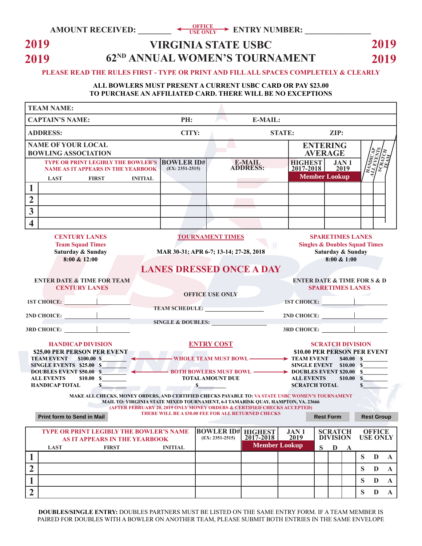## **2019 2019**

## **VIRGINIA STATE USBC 62ND ANNUAL WOMEN'S TOURNAMENT**

**2019 2019**

#### **PLEASE READ THE RULES FIRST - TYPE OR PRINT AND FILL ALL SPACES COMPLETELY & CLEARLY**

#### **ALL BOWLERS MUST PRESENT A CURRENT USBC CARD OR PAY \$23.00 TO PURCHASE AN AFFILIATED CARD. THERE WILL BE NO EXCEPTIONS**

| <b>TEAM NAME:</b>                                                                                                                                                                                                                                              |                                                                                                                                                                                                                                                  |                                                                                                                                                                                                                          |                                   |                                  |                              |                  |                 |                              |                             |  |
|----------------------------------------------------------------------------------------------------------------------------------------------------------------------------------------------------------------------------------------------------------------|--------------------------------------------------------------------------------------------------------------------------------------------------------------------------------------------------------------------------------------------------|--------------------------------------------------------------------------------------------------------------------------------------------------------------------------------------------------------------------------|-----------------------------------|----------------------------------|------------------------------|------------------|-----------------|------------------------------|-----------------------------|--|
| <b>CAPTAIN'S NAME:</b>                                                                                                                                                                                                                                         | PH:                                                                                                                                                                                                                                              |                                                                                                                                                                                                                          | E-MAIL:                           |                                  |                              |                  |                 |                              |                             |  |
| <b>ADDRESS:</b>                                                                                                                                                                                                                                                | CITY:                                                                                                                                                                                                                                            |                                                                                                                                                                                                                          |                                   | <b>STATE:</b><br>$\mathbf{ZIP:}$ |                              |                  |                 |                              |                             |  |
| <b>NAME OF YOUR LOCAL</b><br><b>BOWLING ASSOCIATION</b>                                                                                                                                                                                                        |                                                                                                                                                                                                                                                  |                                                                                                                                                                                                                          | <b>ENTERING</b><br><b>AVERAGE</b> |                                  |                              |                  |                 |                              |                             |  |
| <b>TYPE OR PRINT LEGIBLY THE BOWLER'S BOWLER ID#</b><br><b>NAME AS IT APPEARS IN THE YEARBOOK</b>                                                                                                                                                              | $(EX: 2351-2515)$                                                                                                                                                                                                                                |                                                                                                                                                                                                                          | <b>E-MAIL</b><br><b>ADDRESS:</b>  | <b>HIGHEST</b><br>2017-2018      | 2019<br><b>Member Lookup</b> | JAN <sub>1</sub> |                 | <b>ARTISTS</b>               |                             |  |
| <b>FIRST</b><br><b>LAST</b><br><b>INITIAL</b><br>1                                                                                                                                                                                                             |                                                                                                                                                                                                                                                  |                                                                                                                                                                                                                          |                                   |                                  |                              |                  |                 |                              |                             |  |
| $\overline{2}$                                                                                                                                                                                                                                                 |                                                                                                                                                                                                                                                  |                                                                                                                                                                                                                          |                                   |                                  |                              |                  |                 |                              |                             |  |
| $\overline{\mathbf{3}}$                                                                                                                                                                                                                                        |                                                                                                                                                                                                                                                  |                                                                                                                                                                                                                          |                                   |                                  |                              |                  |                 |                              |                             |  |
| $\overline{\mathbf{4}}$                                                                                                                                                                                                                                        |                                                                                                                                                                                                                                                  |                                                                                                                                                                                                                          |                                   |                                  |                              |                  |                 |                              |                             |  |
| <b>CENTURY LANES</b><br><b>Team Squad Times</b><br>Saturday & Sunday<br>8:00 & 12:00                                                                                                                                                                           | <b>TOURNAMENT TIMES</b><br><b>SPARETIMES LANES</b><br><b>Singles &amp; Doubles Squad Times</b><br>$\left( \mathbb{R}\right)$<br>MAR 30-31; APR 6-7; 13-14; 27-28, 2018<br>Saturday & Sunday<br>$8:00 \& 1:00$<br><b>LANES DRESSED ONCE A DAY</b> |                                                                                                                                                                                                                          |                                   |                                  |                              |                  |                 |                              |                             |  |
| <b>ENTER DATE &amp; TIME FOR TEAM</b><br><b>ENTER DATE &amp; TIME FOR S &amp; D</b><br><b>CENTURY LANES</b><br><b>SPARETIMES LANES</b><br><b>OFFICE USE ONLY</b><br>1ST CHOICE:<br><b>1ST CHOICE:</b>                                                          |                                                                                                                                                                                                                                                  |                                                                                                                                                                                                                          |                                   |                                  |                              |                  |                 |                              |                             |  |
| $2ND$ CHOICE: $\qquad \qquad$                                                                                                                                                                                                                                  | TEAM SCHEDULE:                                                                                                                                                                                                                                   |                                                                                                                                                                                                                          |                                   |                                  |                              |                  |                 |                              |                             |  |
| $3RD$ CHOICE: $\qquad \qquad \qquad$                                                                                                                                                                                                                           | SINGLE & DOUBLES:                                                                                                                                                                                                                                |                                                                                                                                                                                                                          |                                   |                                  |                              |                  |                 |                              |                             |  |
| <b>HANDICAP DIVISION</b><br>\$25.00 PER PERSON PER EVENT<br><b>TEAM EVENT \$100.00 \$</b><br>SINGLE EVENTS \$25.00 \$<br><b>DOUBLES EVENT \$50.00 \$</b>                                                                                                       | <b>ENTRY COST</b>                                                                                                                                                                                                                                | <b>SCRATCH DIVISION</b><br>\$10.00 PER PERSON PER EVENT<br>WHOLE TEAM MUST BOWL > TEAM EVENT<br>\$40.00 S<br><b>SINGLE EVENT</b> \$10.00 \$<br>$-$ BOTH BOWLERS MUST BOWL $\longrightarrow$ DOUBLES EVENT \$20.00 $\sim$ |                                   |                                  |                              |                  |                 |                              |                             |  |
| <b>ALL EVENTS</b><br>\$10.00S<br><b>HANDICAP TOTAL</b><br>$\mathbf{s}$                                                                                                                                                                                         | <b>TOTAL AMOUNT DUE</b><br>$\sim$ s                                                                                                                                                                                                              | <b>ALL EVENTS</b><br>\$10.00 \$<br><b>SCRATCH TOTAL</b><br>$s$ . The set of $s$                                                                                                                                          |                                   |                                  |                              |                  |                 |                              |                             |  |
| MAKE ALL CHECKS, MONEY ORDERS, AND CERTIFIED CHECKS PAYABLE TO: VA STATE USBC WOMEN'S TOURNAMENT<br>MAIL TO: VIRGINIA STATE MIXED TOURNAMENT, 6-I TAMARISK QUAY, HAMPTON, VA. 23666<br>(AFTER FEBRUARY 20, 2019 ONLY MONEY ORDERS & CERTIFIED CHECKS ACCEPTED) |                                                                                                                                                                                                                                                  |                                                                                                                                                                                                                          |                                   |                                  |                              |                  |                 |                              |                             |  |
| <b>Print form to Send in Mail</b>                                                                                                                                                                                                                              | THERE WILL BE A \$30.00 FEE FOR ALL RETURNED CHECKS                                                                                                                                                                                              |                                                                                                                                                                                                                          |                                   |                                  | <b>Rest Form</b>             |                  |                 | <b>Rest Group</b>            |                             |  |
| TYPE OR PRINT LEGIBLY THE BOWLER'S NAME<br>AS IT APPEARS IN THE YEARBOOK                                                                                                                                                                                       |                                                                                                                                                                                                                                                  | <b>BOWLER ID#</b><br>$(EX: 2351-2515)$                                                                                                                                                                                   | <b>HIGHEST</b><br>$2017 - 2018$   | <b>JAN1</b><br>2019              | <b>SCRATCH</b><br>DIVISION   |                  | <b>USE ONLY</b> | <b>OFFICE</b>                |                             |  |
| <b>LAST</b><br><b>FIRST</b>                                                                                                                                                                                                                                    | <b>INITIAL</b>                                                                                                                                                                                                                                   |                                                                                                                                                                                                                          | <b>Member Lookup</b>              |                                  | S<br>$\mathbf{D}$            | $\mathbf{A}$     |                 |                              |                             |  |
| 1<br>$\overline{2}$                                                                                                                                                                                                                                            |                                                                                                                                                                                                                                                  |                                                                                                                                                                                                                          |                                   |                                  |                              |                  | S<br>S          | $\mathbf{D}$<br>$\mathbf{D}$ | $\mathbf A$<br>$\mathbf{A}$ |  |
| 1                                                                                                                                                                                                                                                              |                                                                                                                                                                                                                                                  |                                                                                                                                                                                                                          |                                   |                                  |                              |                  | S               | D                            | $\mathbf{A}$                |  |
| $\overline{2}$                                                                                                                                                                                                                                                 |                                                                                                                                                                                                                                                  |                                                                                                                                                                                                                          |                                   |                                  |                              |                  | S               | $\mathbf{D}$                 | ${\bf A}$                   |  |

**DOUBLES/SINGLE ENTRY:** DOUBLES PARTNERS MUST BE LISTED ON THE SAME ENTRY FORM. IF A TEAM MEMBER IS PAIRED FOR DOUBLES WITH A BOWLER ON ANOTHER TEAM, PLEASE SUBMIT BOTH ENTRIES IN THE SAME ENVELOPE